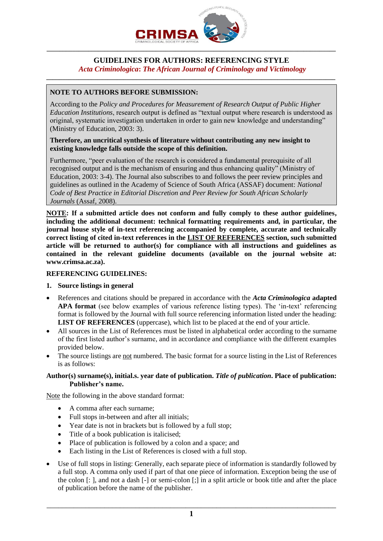

## **GUIDELINES FOR AUTHORS: REFERENCING STYLE** *Acta Criminologica***:** *The African Journal of Criminology and Victimology*

**\_\_\_\_\_\_\_\_\_\_\_\_\_\_\_\_\_\_\_\_\_\_\_\_\_\_\_\_\_\_\_\_\_\_\_\_\_\_\_\_\_\_\_\_\_\_\_\_\_\_\_\_\_\_\_\_\_\_\_\_\_\_\_\_\_\_\_\_\_\_\_\_\_\_\_\_\_\_\_\_\_\_\_\_\_\_\_\_\_\_**

# **NOTE TO AUTHORS BEFORE SUBMISSION:**

According to the *Policy and Procedures for Measurement of Research Output of Public Higher Education Institutions*, research output is defined as "textual output where research is understood as original, systematic investigation undertaken in order to gain new knowledge and understanding" (Ministry of Education, 2003: 3).

#### **Therefore, an uncritical synthesis of literature without contributing any new insight to existing knowledge falls outside the scope of this definition.**

Furthermore, "peer evaluation of the research is considered a fundamental prerequisite of all recognised output and is the mechanism of ensuring and thus enhancing quality" (Ministry of Education, 2003: 3-4). The Journal also subscribes to and follows the peer review principles and guidelines as outlined in the Academy of Science of South Africa (ASSAF) document: *National Code of Best Practice in Editorial Discretion and Peer Review for South African Scholarly Journals* (Assaf, 2008).

**NOTE: If a submitted article does not conform and fully comply to these author guidelines, including the additional document: technical formatting requirements and, in particular, the journal house style of in-text referencing accompanied by complete, accurate and technically correct listing of cited in-text references in the LIST OF REFERENCES section, such submitted article will be returned to author(s) for compliance with all instructions and guidelines as contained in the relevant guideline documents (available on the journal website at: www.crimsa.ac.za).** 

### **REFERENCING GUIDELINES:**

## **1. Source listings in general**

- References and citations should be prepared in accordance with the *Acta Criminologica* **adapted APA format** (see below examples of various reference listing types). The 'in-text' referencing format is followed by the Journal with full source referencing information listed under the heading: **LIST OF REFERENCES** (uppercase), which list to be placed at the end of your article.
- All sources in the List of References must be listed in alphabetical order according to the surname of the first listed author's surname, and in accordance and compliance with the different examples provided below.
- The source listings are not numbered. The basic format for a source listing in the List of References is as follows:

## **Author(s) surname(s), initial.s. year date of publication.** *Title of publication***. Place of publication: Publisher's name.**

Note the following in the above standard format:

- A comma after each surname;
- Full stops in-between and after all initials;
- Year date is not in brackets but is followed by a full stop;
- Title of a book publication is italicised;
- Place of publication is followed by a colon and a space; and
- Each listing in the List of References is closed with a full stop.
- Use of full stops in listing: Generally, each separate piece of information is standardly followed by a full stop. A comma only used if part of that one piece of information. Exception being the use of the colon [: ], and not a dash [-] or semi-colon [;] in a split article or book title and after the place of publication before the name of the publisher.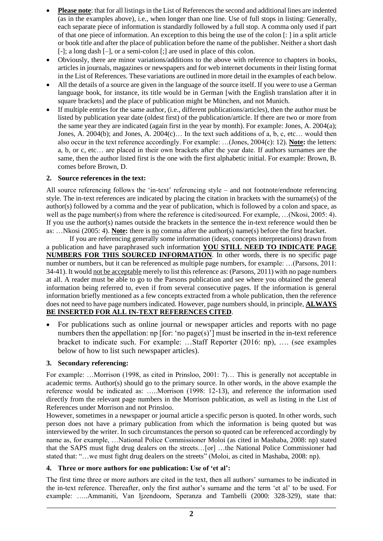- **Please note**: that for all listings in the List of References the second and additional lines are indented (as in the examples above), i.e., when longer than one line. Use of full stops in listing: Generally, each separate piece of information is standardly followed by a full stop. A comma only used if part of that one piece of information. An exception to this being the use of the colon [: ] in a split article or book title and after the place of publication before the name of the publisher. Neither a short dash [-]; a long dash [-], or a semi-colon [;] are used in place of this colon.
- Obviously, there are minor variations/additions to the above with reference to chapters in books, articles in journals, magazines or newspapers and for web internet documents in their listing format in the List of References. These variations are outlined in more detail in the examples of each below.
- All the details of a source are given in the language of the source itself. If you were to use a German language book, for instance, its title would be in German [with the English translation after it in square brackets] and the place of publication might be München, and not Munich.
- If multiple entries for the same author, (i.e., different publications/articles), then the author must be listed by publication year date (oldest first) of the publication/article. If there are two or more from the same year they are indicated (again first in the year by month). For example: Jones, A. 2004(a); Jones, A. 2004(b); and Jones, A. 2004(c)… In the text such additions of a, b, c, etc… would then also occur in the text reference accordingly. For example: …(Jones, 2004(c): 12). **Note:** the letters: a, b, or c, etc… are placed in their own brackets after the year date. If authors surnames are the same, then the author listed first is the one with the first alphabetic initial. For example: Brown, B. comes before Brown, D.

# **2. Source references in the text:**

All source referencing follows the 'in-text' referencing style – and not footnote/endnote referencing style. The in-text references are indicated by placing the citation in brackets with the surname(s) of the author(s) followed by a comma and the year of publication, which is followed by a colon and space, as well as the page number(s) from where the reference is cited/sourced. For example, …(Nkosi, 2005: 4). If you use the author(s) names outside the brackets in the sentence the in-text reference would then be as: …Nkosi (2005: 4). **Note:** there is no comma after the author(s) name(s) before the first bracket.

If you are referencing generally some information (ideas, concepts interpretations) drawn from a publication and have paraphrased such information **YOU STILL NEED TO INDICATE PAGE NUMBERS FOR THIS SOURCED INFORMATION**. In other words, there is no specific page number or numbers, but it can be referenced as multiple page numbers, for example: …(Parsons, 2011: 34-41). It would not be acceptable merely to list this reference as: (Parsons, 2011) with no page numbers at all. A reader must be able to go to the Parsons publication and see where you obtained the general information being referred to, even if from several consecutive pages. If the information is general information briefly mentioned as a few concepts extracted from a whole publication, then the reference does not need to have page numbers indicated. However, page numbers should, in principle, **ALWAYS BE INSERTED FOR ALL IN-TEXT REFERENCES CITED**.

• For publications such as online journal or newspaper articles and reports with no page numbers then the appellation: np [for: 'no page(s)'] must be inserted in the in-text reference bracket to indicate such. For example: …Staff Reporter (2016: np), …. (see examples below of how to list such newspaper articles).

# **3. Secondary referencing:**

For example: …Morrison (1998, as cited in Prinsloo, 2001: 7)… This is generally not acceptable in academic terms. Author(s) should go to the primary source. In other words, in the above example the reference would be indicated as: …..Morrison (1998: 12-13), and reference the information used directly from the relevant page numbers in the Morrison publication, as well as listing in the List of References under Morrison and not Prinsloo.

However, sometimes in a newspaper or journal article a specific person is quoted. In other words, such person does not have a primary publication from which the information is being quoted but was interviewed by the writer. In such circumstances the person so quoted can be referenced accordingly by name as, for example, …National Police Commissioner Moloi (as cited in Mashaba, 2008: np) stated that the SAPS must fight drug dealers on the streets…[or] …the National Police Commissioner had stated that: "…we must fight drug dealers on the streets" (Moloi, as cited in Mashaba, 2008: np).

## **4. Three or more authors for one publication: Use of 'et al':**

The first time three or more authors are cited in the text, then all authors' surnames to be indicated in the in-text reference. Thereafter, only the first author's surname and the term 'et al' to be used. For example: …..Ammaniti, Van Ijzendoorn, Speranza and Tambelli (2000: 328-329), state that: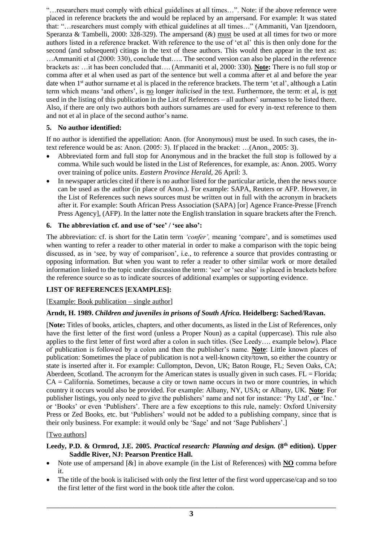"…researchers must comply with ethical guidelines at all times…". Note: if the above reference were placed in reference brackets the and would be replaced by an ampersand. For example: It was stated that: "…researchers must comply with ethical guidelines at all times…" (Ammaniti, Van Ijzendoorn, Speranza & Tambelli, 2000: 328-329). The ampersand  $(\&)$  must be used at all times for two or more authors listed in a reference bracket. With reference to the use of 'et al' this is then only done for the second (and subsequent) citings in the text of these authors. This would then appear in the text as: …Ammaniti et al (2000: 330), conclude that….. The second version can also be placed in the reference brackets as: …it has been concluded that…. (Ammaniti et al, 2000: 330). **Note:** There is no full stop or comma after et al when used as part of the sentence but well a comma after et al and before the year date when 1<sup>st</sup> author surname et al is placed in the reference brackets. The term 'et al', although a Latin term which means 'and others', is no longer *italicised* in the text. Furthermore, the term: et al, is not used in the listing of this publication in the List of References – all authors' surnames to be listed there. Also, if there are only two authors both authors surnames are used for every in-text reference to them and not et al in place of the second author's name.

# **5. No author identified:**

If no author is identified the appellation: Anon. (for Anonymous) must be used. In such cases, the intext reference would be as: Anon. (2005: 3). If placed in the bracket: …(Anon., 2005: 3).

- Abbreviated form and full stop for Anonymous and in the bracket the full stop is followed by a comma. While such would be listed in the List of References, for example, as: Anon. 2005. Worry over training of police units. *Eastern Province Herald,* 26 April: 3.
- In newspaper articles cited if there is no author listed for the particular article, then the news source can be used as the author (in place of Anon.). For example: SAPA, Reuters or AFP. However, in the List of References such news sources must be written out in full with the acronym in brackets after it. For example: South African Press Association (SAPA) [or] Agence France-Presse [French Press Agency], (AFP). In the latter note the English translation in square brackets after the French.

# **6. The abbreviation cf. and use of 'see' / 'see also':**

The abbreviation: cf. is short for the Latin term *'confer',* meaning 'compare', and is sometimes used when wanting to refer a reader to other material in order to make a comparison with the topic being discussed, as in 'see, by way of comparison', i.e., to reference a source that provides contrasting or opposing information. But when you want to refer a reader to other similar work or more detailed information linked to the topic under discussion the term: 'see' or 'see also' is placed in brackets before the reference source so as to indicate sources of additional examples or supporting evidence.

# **LIST OF REFERENCES [EXAMPLES]:**

## [Example: Book publication – single author]

# **Arndt, H. 1989.** *Children and juveniles in prisons of South Africa***. Heidelberg: Sached/Ravan.**

[**Note:** Titles of books, articles, chapters, and other documents, as listed in the List of References, only have the first letter of the first word (unless a Proper Noun) as a capital (uppercase). This rule also applies to the first letter of first word after a colon in such titles. (See Leedy…. example below). Place of publication is followed by a colon and then the publisher's name. **Note**: Little known places of publication: Sometimes the place of publication is not a well-known city/town, so either the country or state is inserted after it. For example: Cullompton, Devon, UK; Baton Rouge, FL; Seven Oaks, CA; Aberdeen, Scotland. The acronym for the American states is usually given in such cases.  $FL = Florida$ ; CA = California. Sometimes, because a city or town name occurs in two or more countries, in which country it occurs would also be provided. For example: Albany, NY, USA; or Albany, UK. **Note**: For publisher listings, you only need to give the publishers' name and not for instance: 'Pty Ltd', or 'Inc.' or 'Books' or even 'Publishers'. There are a few exceptions to this rule, namely: Oxford University Press or Zed Books, etc. but 'Publishers' would not be added to a publishing company, since that is their only business. For example: it would only be 'Sage' and not 'Sage Publishers'.]

## [Two authors]

## **Leedy, P.D. & Ormrod, J.E. 2005.** *Practical research: Planning and design.* **(8th edition). Upper Saddle River, NJ: Pearson Prentice Hall.**

- Note use of ampersand [&] in above example (in the List of References) with **NO** comma before it.
- The title of the book is italicised with only the first letter of the first word uppercase/cap and so too the first letter of the first word in the book title after the colon.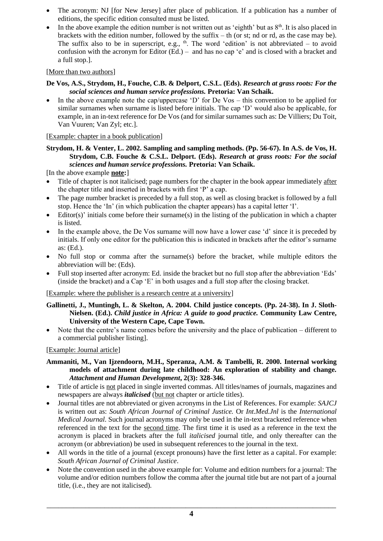- The acronym: NJ [for New Jersey] after place of publication. If a publication has a number of editions, the specific edition consulted must be listed.
- In the above example the edition number is not written out as 'eighth' but as  $8<sup>th</sup>$ . It is also placed in brackets with the edition number, followed by the suffix  $-$  th (or st; nd or rd, as the case may be). The suffix also to be in superscript, e.g.,  $\phi$ . The word 'edition' is not abbreviated – to avoid confusion with the acronym for Editor (Ed.) – and has no cap 'e' and is closed with a bracket and a full stop.].

# [More than two authors]

### **De Vos, A.S., Strydom, H., Fouche, C.B. & Delport, C.S.L. (Eds).** *Research at grass roots: For the social sciences and human service professions.* **Pretoria: Van Schaik.**

In the above example note the cap/uppercase  $\Delta$  for De Vos – this convention to be applied for similar surnames when surname is listed before initials. The cap 'D' would also be applicable, for example, in an in-text reference for De Vos (and for similar surnames such as: De Villiers; Du Toit, Van Vuuren; Van Zyl; etc.].

# [Example: chapter in a book publication]

# **Strydom, H. & Venter, L. 2002. Sampling and sampling methods. (Pp. 56-67). In A.S. de Vos, H. Strydom, C.B. Fouche & C.S.L. Delport. (Eds).** *Research at grass roots: For the social sciences and human service professions.* **Pretoria: Van Schaik.**

[In the above example **note:**]

- Title of chapter is not italicised; page numbers for the chapter in the book appear immediately after the chapter title and inserted in brackets with first 'P' a cap.
- The page number bracket is preceded by a full stop, as well as closing bracket is followed by a full stop. Hence the 'In' (in which publication the chapter appears) has a capital letter 'I'.
- Editor(s)' initials come before their surname(s) in the listing of the publication in which a chapter is listed.
- In the example above, the De Vos surname will now have a lower case 'd' since it is preceded by initials. If only one editor for the publication this is indicated in brackets after the editor's surname as: (Ed.).
- No full stop or comma after the surname(s) before the bracket, while multiple editors the abbreviation will be: (Eds).
- Full stop inserted after acronym: Ed. inside the bracket but no full stop after the abbreviation 'Eds' (inside the bracket) and a Cap 'E' in both usages and a full stop after the closing bracket.

[Example: where the publisher is a research centre at a university]

- **Gallinetti, J., Muntingh, L. & Skelton, A. 2004. Child justice concepts. (Pp. 24-38). In J. Sloth-Nielsen. (Ed.).** *Child justice in Africa: A guide to good practice.* **Community Law Centre, University of the Western Cape, Cape Town.**
- Note that the centre's name comes before the university and the place of publication different to a commercial publisher listing].

## [Example: Journal article]

- **Ammaniti, M., Van Ijzendoorn, M.H., Speranza, A.M. & Tambelli, R. 2000. Internal working models of attachment during late childhood: An exploration of stability and change.** *Attachment and Human Development***, 2(3): 328-346.**
- Title of article is not placed in single inverted commas. All titles/names of journals, magazines and newspapers are always *italicised* (but not chapter or article titles).
- Journal titles are not abbreviated or given acronyms in the List of References. For example: *SAJCJ* is written out as: *South African Journal of Criminal Justice.* Or *Int.Med.Jnl* is the *International Medical Journal.* Such journal acronyms may only be used in the in-text bracketed reference when referenced in the text for the second time. The first time it is used as a reference in the text the acronym is placed in brackets after the full *italicised* journal title, and only thereafter can the acronym (or abbreviation) be used in subsequent references to the journal in the text.
- All words in the title of a journal (except pronouns) have the first letter as a capital. For example: *South African Journal of Criminal Justice*.
- Note the convention used in the above example for: Volume and edition numbers for a journal: The volume and/or edition numbers follow the comma after the journal title but are not part of a journal title, (i.e., they are not italicised)*.*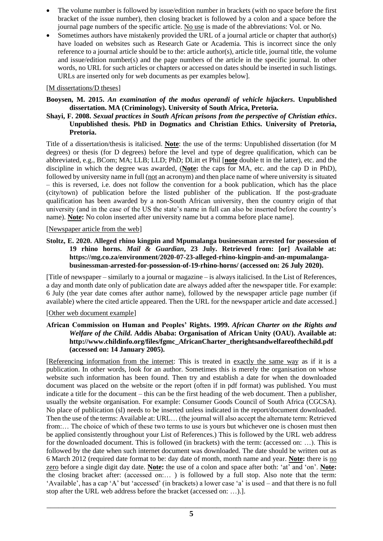- The volume number is followed by issue/edition number in brackets (with no space before the first bracket of the issue number), then closing bracket is followed by a colon and a space before the journal page numbers of the specific article. No use is made of the abbreviations: Vol. or No.
- Sometimes authors have mistakenly provided the URL of a journal article or chapter that author(s) have loaded on websites such as Research Gate or Academia. This is incorrect since the only reference to a journal article should be to the: article author(s), article title, journal title, the volume and issue/edition number(s) and the page numbers of the article in the specific journal. In other words, no URL for such articles or chapters or accessed on dates should be inserted in such listings. URLs are inserted only for web documents as per examples below].

## [M dissertations/D theses]

### **Booysen, M. 2015.** *An examination of the modus operandi of vehicle hijackers***. Unpublished dissertation. MA (Criminology). University of South Africa, Pretoria.**

**Shayi, F. 2008.** *Sexual practices in South African prisons from the perspective of Christian ethics***. Unpublished thesis. PhD in Dogmatics and Christian Ethics. University of Pretoria, Pretoria.**

Title of a dissertation/thesis is italicised. **Note**: the use of the terms: Unpublished dissertation (for M degrees) or thesis (for D degrees) before the level and type of degree qualification, which can be abbreviated, e.g., BCom; MA; LLB; LLD; PhD; DLitt et Phil [**note** double tt in the latter), etc. and the discipline in which the degree was awarded, (**Note:** the caps for MA, etc. and the cap D in PhD), followed by university name in full (not an acronym) and then place name of where university is situated – this is reversed, i.e. does not follow the convention for a book publication, which has the place (city/town) of publication before the listed publisher of the publication. If the post-graduate qualification has been awarded by a non-South African university, then the country origin of that university (and in the case of the US the state's name in full can also be inserted before the country's name). **Note:** No colon inserted after university name but a comma before place name].

## [Newspaper article from the web]

**Stoltz, E. 2020. Alleged rhino kingpin and Mpumalanga businessman arrested for possession of 19 rhino horns.** *Mail & Guardian***, 23 July. Retrieved from: [or] Available at: https://mg.co.za/environment/2020-07-23-alleged-rhino-kingpin-and-an-mpumalangabusinessman-arrested-for-possession-of-19-rhino-horns/ (accessed on: 26 July 2020).** 

[Title of newspaper – similarly to a journal or magazine – is always italicised. In the List of References, a day and month date only of publication date are always added after the newspaper title. For example: 6 July (the year date comes after author name), followed by the newspaper article page number (if available) where the cited article appeared. Then the URL for the newspaper article and date accessed.]

## [Other web document example]

#### **African Commission on Human and Peoples' Rights. 1999.** *African Charter on the Rights and Welfare of the Child***. Addis Ababa: Organisation of African Unity (OAU). Available at: http://www.childinfo.org/files/fgmc\_AfricanCharter\_therightsandwelfareofthechild.pdf (accessed on: 14 January 2005).**

[Referencing information from the internet: This is treated in exactly the same way as if it is a publication. In other words, look for an author. Sometimes this is merely the organisation on whose website such information has been found. Then try and establish a date for when the downloaded document was placed on the website or the report (often if in pdf format) was published. You must indicate a title for the document – this can be the first heading of the web document. Then a publisher, usually the website organisation. For example: Consumer Goods Council of South Africa (CGCSA). No place of publication (sl) needs to be inserted unless indicated in the report/document downloaded. Then the use of the terms: Available at: URL… (the journal will also accept the alternate term: Retrieved from:… The choice of which of these two terms to use is yours but whichever one is chosen must then be applied consistently throughout your List of References.) This is followed by the URL web address for the downloaded document. This is followed (in brackets) with the term: (accessed on: …). This is followed by the date when such internet document was downloaded. The date should be written out as 6 March 2012 (required date format to be: day date of month, month name and year. **Note:** there is no zero before a single digit day date. **Note:** the use of a colon and space after both: 'at' and 'on'. **Note:** the closing bracket after: (accessed on:… ) is followed by a full stop. Also note that the term: 'Available', has a cap 'A' but 'accessed' (in brackets) a lower case 'a' is used – and that there is no full stop after the URL web address before the bracket (accessed on: …).].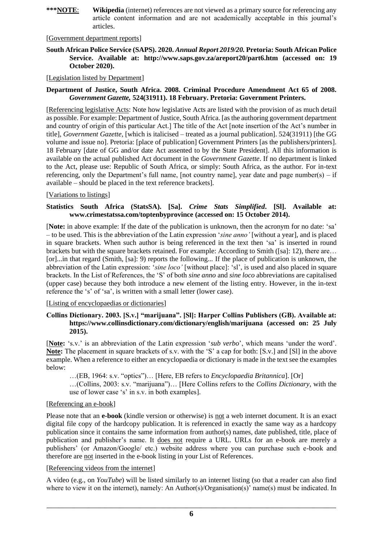**\*\*\*NOTE**: **Wikipedia** (internet) references are not viewed as a primary source for referencing any article content information and are not academically acceptable in this journal's articles.

#### [Government department reports]

#### **South African Police Service (SAPS). 2020.** *Annual Report 2019/20.* **Pretoria: South African Police Service. Available at: <http://www.saps.gov.za/areport20/part6.htm> (accessed on: 19 October 2020).**

### [Legislation listed by Department]

#### **Department of Justice, South Africa. 2008. Criminal Procedure Amendment Act 65 of 2008.**  *Government Gazette,* **524(31911). 18 February. Pretoria: Government Printers.**

[Referencing legislative Acts: Note how legislative Acts are listed with the provision of as much detail as possible. For example: Department of Justice, South Africa. [as the authoring government department and country of origin of this particular Act.] The title of the Act [note insertion of the Act's number in title], *Government Gazette,* [which is italicised – treated as a journal publication]. 524(31911) [the GG volume and issue no]. Pretoria: [place of publication] Government Printers [as the publishers/printers]. 18 February [date of GG and/or date Act assented to by the State President]. All this information is available on the actual published Act document in the *Government Gazette*. If no department is linked to the Act, please use: Republic of South Africa, or simply: South Africa, as the author. For in-text referencing, only the Department's full name, [not country name], year date and page number(s) – if available – should be placed in the text reference brackets].

#### [Variations to listings]

#### **Statistics South Africa (StatsSA). [Sa].** *Crime Stats Simplified***. [Sl]. Available at: [www.crimestatssa.com/toptenbyprovince](http://www.crimestatssa.com/toptenbyprovince) (accessed on: 15 October 2014).**

[**Note:** in above example: If the date of the publication is unknown, then the acronym for no date: 'sa' – to be used. This is the abbreviation of the Latin expression '*sine anno'* [without a year], and is placed in square brackets. When such author is being referenced in the text then 'sa' is inserted in round brackets but with the square brackets retained. For example: According to Smith ([sa]: 12), there are… [or]...in that regard (Smith, [sa]: 9) reports the following... If the place of publication is unknown, the abbreviation of the Latin expression: '*sine loco'* [without place]: 'sl', is used and also placed in square brackets. In the List of References, the 'S' of both *sine anno* and *sine loco* abbreviations are capitalised (upper case) because they both introduce a new element of the listing entry. However, in the in-text reference the 's' of 'sa', is written with a small letter (lower case).

[Listing of encyclopaedias or dictionaries]

#### **Collins Dictionary. 2003. [S.v.] "marijuana". [Sl]: Harper Collins Publishers (GB). Available at: <https://www.collinsdictionary.com/dictionary/english/marijuana> (accessed on: 25 July 2015).**

[**Note:** 's.v.' is an abbreviation of the Latin expression '*sub verbo*', which means 'under the word'. **Note:** The placement in square brackets of s.v. with the 'S' a cap for both: [S.v.] and [Sl] in the above example. When a reference to either an encyclopaedia or dictionary is made in the text see the examples below:

…(EB, 1964: s.v. "optics")… [Here, EB refers to *Encyclopaedia Britannica*]. [Or]

…(Collins, 2003: s.v. "marijuana")… [Here Collins refers to the *Collins Dictionary*, with the use of lower case 's' in s.v. in both examples].

### [Referencing an e-book]

Please note that an **e-book** (kindle version or otherwise) is not a web internet document. It is an exact digital file copy of the hardcopy publication. It is referenced in exactly the same way as a hardcopy publication since it contains the same information from author(s) names, date published, title, place of publication and publisher's name. It does not require a URL. URLs for an e-book are merely a publishers' (or Amazon/Google/ etc.) website address where you can purchase such e-book and therefore are not inserted in the e-book listing in your List of References.

#### [Referencing videos from the internet]

A video (e.g., on *YouTube*) will be listed similarly to an internet listing (so that a reader can also find where to view it on the internet), namely: An Author(s)/Organisation(s)' name(s) must be indicated. In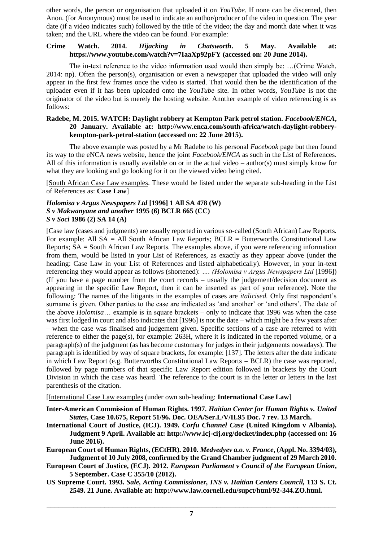other words, the person or organisation that uploaded it on *YouTube.* If none can be discerned, then Anon. (for Anonymous) must be used to indicate an author/producer of the video in question. The year date (if a video indicates such) followed by the title of the video; the day and month date when it was taken; and the URL where the video can be found. For example:

### **Crime Watch. 2014.** *Hijacking in Chatsworth***. 5 May. Available at: <https://www.youtube.com/watch?v=7IaaXp92pFY> (accessed on: 20 June 2014).**

The in-text reference to the video information used would then simply be: …(Crime Watch, 2014: np). Often the person(s), organisation or even a newspaper that uploaded the video will only appear in the first few frames once the video is started. That would then be the identification of the uploader even if it has been uploaded onto the *YouTube* site. In other words, *YouTube* is not the originator of the video but is merely the hosting website. Another example of video referencing is as follows:

### **Radebe, M. 2015. WATCH: Daylight robbery at Kempton Park petrol station.** *Facebook/ENCA***, 20 January. Available at: http://www.enca.com/south-africa/watch-daylight-robberykempton-park-petrol-station (accessed on: 22 June 2015).**

The above example was posted by a Mr Radebe to his personal *Facebook* page but then found its way to the eNCA news website, hence the joint *Facebook/ENCA* as such in the List of References. All of this information is usually available on or in the actual video – author(s) must simply know for what they are looking and go looking for it on the viewed video being cited.

[South African Case Law examples. These would be listed under the separate sub-heading in the List of References as: **Case Law**]

#### *Holomisa v Argus Newspapers Ltd* **[1996] 1 All SA 478 (W)** *S v Makwanyane and another* **1995 (6) BCLR 665 (CC)** *S v Soci* **1986 (2) SA 14 (A)**

[Case law (cases and judgments) are usually reported in various so-called (South African) Law Reports. For example: All SA **=** All South African Law Reports; BCLR **=** Butterworths Constitutional Law Reports; SA **=** South African Law Reports. The examples above, if you were referencing information from them, would be listed in your List of References, as exactly as they appear above (under the heading: Case Law in your List of References and listed alphabetically). However, in your in-text referencing they would appear as follows (shortened): *…. (Holomisa v Argus Newspapers Ltd* [1996]) (If you have a page number from the court records – usually the judgement/decision document as appearing in the specific Law Report, then it can be inserted as part of your reference). Note the following: The names of the litigants in the examples of cases are *italicised.* Only first respondent's surname is given. Other parties to the case are indicated as 'and another' or 'and others'. The date of the above *Holomisa*… example is in square brackets – only to indicate that 1996 was when the case was first lodged in court and also indicates that [1996] is not the date – which might be a few years after – when the case was finalised and judgement given. Specific sections of a case are referred to with reference to either the page(s), for example: 263H, where it is indicated in the reported volume, or a paragraph(s) of the judgment (as has become customary for judges in their judgements nowadays). The paragraph is identified by way of square brackets, for example: [137]. The letters after the date indicate in which Law Report (e.g. Butterworths Constitutional Law Reports  $= BCLR$ ) the case was reported, followed by page numbers of that specific Law Report edition followed in brackets by the Court Division in which the case was heard. The reference to the court is in the letter or letters in the last parenthesis of the citation.

[International Case Law examples (under own sub-heading: **International Case Law**]

**Inter-American Commission of Human Rights. 1997.** *Haitian Center for Human Rights v. United States***, Case 10.675, Report 51/96. Doc. OEA/Ser.L/V/II.95 Doc. 7 rev. 13 March.**

**International Court of Justice, (ICJ). 1949.** *Corfu Channel Case* **(United Kingdom v Albania). Judgment 9 April. Available at: [http://www.icj-cij.org/docket/index.php](http://www.icj-cij.org/docket/index.php?p1=3&p2=3&case=1) (accessed on: 16 June 2016).**

**European Court of Human Rights, (ECtHR). 2010.** *Medvedyev a.o. v. France***, (Appl. No. 3394/03), Judgment of 10 July 2008, confirmed by the Grand Chamber judgment of 29 March 2010.**

- **European Court of Justice, (ECJ). 2012.** *European Parliament v Council of the European Union***, 5 September. Case C 355/10 (2012).**
- **US Supreme Court. 1993.** *Sale, Acting Commissioner, INS v. Haitian Centers Council,* **113 S. Ct. 2549. 21 June. Available at: http://www.law.cornell.edu/supct/html/92-344.ZO.html.**